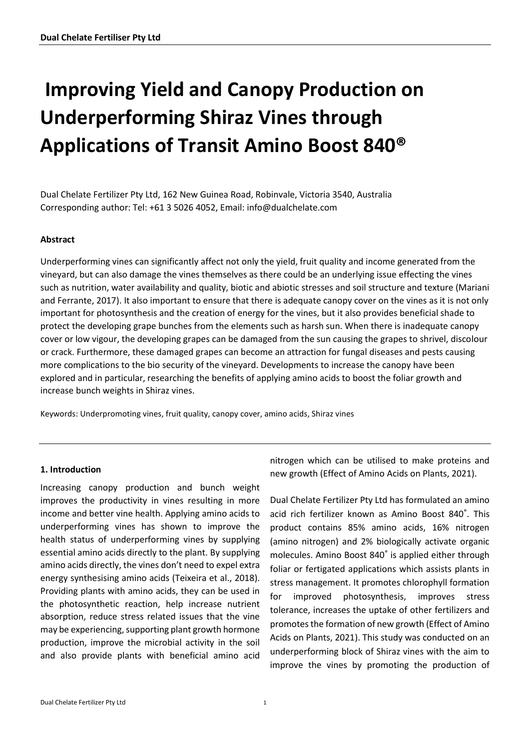# **Improving Yield and Canopy Production on Underperforming Shiraz Vines through Applications of Transit Amino Boost 840®**

Dual Chelate Fertilizer Pty Ltd, 162 New Guinea Road, Robinvale, Victoria 3540, Australia Corresponding author: Tel: +61 3 5026 4052, Email: info@dualchelate.com

## **Abstract**

Underperforming vines can significantly affect not only the yield, fruit quality and income generated from the vineyard, but can also damage the vines themselves as there could be an underlying issue effecting the vines such as nutrition, water availability and quality, biotic and abiotic stresses and soil structure and texture (Mariani and Ferrante, 2017). It also important to ensure that there is adequate canopy cover on the vines as it is not only important for photosynthesis and the creation of energy for the vines, but it also provides beneficial shade to protect the developing grape bunches from the elements such as harsh sun. When there is inadequate canopy cover or low vigour, the developing grapes can be damaged from the sun causing the grapes to shrivel, discolour or crack. Furthermore, these damaged grapes can become an attraction for fungal diseases and pests causing more complications to the bio security of the vineyard. Developments to increase the canopy have been explored and in particular, researching the benefits of applying amino acids to boost the foliar growth and increase bunch weights in Shiraz vines.

Keywords: Underpromoting vines, fruit quality, canopy cover, amino acids, Shiraz vines

#### **1. Introduction**

Increasing canopy production and bunch weight improves the productivity in vines resulting in more income and better vine health. Applying amino acids to underperforming vines has shown to improve the health status of underperforming vines by supplying essential amino acids directly to the plant. By supplying amino acids directly, the vines don't need to expel extra energy synthesising amino acids (Teixeira et al., 2018). Providing plants with amino acids, they can be used in the photosynthetic reaction, help increase nutrient absorption, reduce stress related issues that the vine may be experiencing, supporting plant growth hormone production, improve the microbial activity in the soil and also provide plants with beneficial amino acid nitrogen which can be utilised to make proteins and new growth (Effect of Amino Acids on Plants, 2021).

Dual Chelate Fertilizer Pty Ltd has formulated an amino acid rich fertilizer known as Amino Boost 840® . This product contains 85% amino acids, 16% nitrogen (amino nitrogen) and 2% biologically activate organic molecules. Amino Boost 840® is applied either through foliar or fertigated applications which assists plants in stress management. It promotes chlorophyll formation for improved photosynthesis, improves stress tolerance, increases the uptake of other fertilizers and promotes the formation of new growth (Effect of Amino Acids on Plants, 2021). This study was conducted on an underperforming block of Shiraz vines with the aim to improve the vines by promoting the production of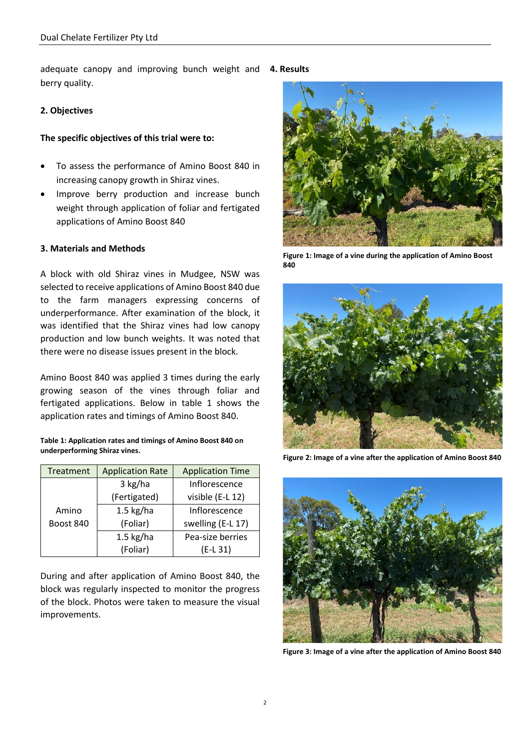adequate canopy and improving bunch weight and **4. Results**  berry quality.

#### **2. Objectives**

#### **The specific objectives of this trial were to:**

- To assess the performance of Amino Boost 840 in increasing canopy growth in Shiraz vines.
- Improve berry production and increase bunch weight through application of foliar and fertigated applications of Amino Boost 840

#### **3. Materials and Methods**

A block with old Shiraz vines in Mudgee, NSW was selected to receive applications of Amino Boost 840 due to the farm managers expressing concerns of underperformance. After examination of the block, it was identified that the Shiraz vines had low canopy production and low bunch weights. It was noted that there were no disease issues present in the block.

Amino Boost 840 was applied 3 times during the early growing season of the vines through foliar and fertigated applications. Below in table 1 shows the application rates and timings of Amino Boost 840.

**Table 1: Application rates and timings of Amino Boost 840 on underperforming Shiraz vines.**

| Treatment | <b>Application Rate</b> | <b>Application Time</b> |
|-----------|-------------------------|-------------------------|
|           | 3 kg/ha                 | Inflorescence           |
|           | (Fertigated)            | visible (E-L 12)        |
| Amino     | $1.5$ kg/ha             | Inflorescence           |
| Boost 840 | (Foliar)                | swelling (E-L 17)       |
|           | $1.5$ kg/ha             | Pea-size berries        |
|           | (Foliar)                | $(E-L 31)$              |

During and after application of Amino Boost 840, the block was regularly inspected to monitor the progress of the block. Photos were taken to measure the visual improvements.



**Figure 1: Image of a vine during the application of Amino Boost 840**



**Figure 2: Image of a vine after the application of Amino Boost 840**



**Figure 3: Image of a vine after the application of Amino Boost 840**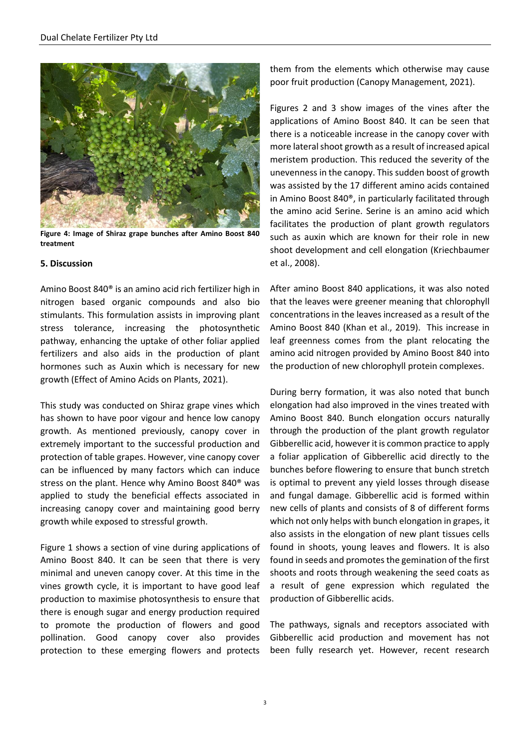

**Figure 4: Image of Shiraz grape bunches after Amino Boost 840 treatment**

#### **5. Discussion**

Amino Boost 840® is an amino acid rich fertilizer high in nitrogen based organic compounds and also bio stimulants. This formulation assists in improving plant stress tolerance, increasing the photosynthetic pathway, enhancing the uptake of other foliar applied fertilizers and also aids in the production of plant hormones such as Auxin which is necessary for new growth (Effect of Amino Acids on Plants, 2021).

This study was conducted on Shiraz grape vines which has shown to have poor vigour and hence low canopy growth. As mentioned previously, canopy cover in extremely important to the successful production and protection of table grapes. However, vine canopy cover can be influenced by many factors which can induce stress on the plant. Hence why Amino Boost 840® was applied to study the beneficial effects associated in increasing canopy cover and maintaining good berry growth while exposed to stressful growth.

Figure 1 shows a section of vine during applications of Amino Boost 840. It can be seen that there is very minimal and uneven canopy cover. At this time in the vines growth cycle, it is important to have good leaf production to maximise photosynthesis to ensure that there is enough sugar and energy production required to promote the production of flowers and good pollination. Good canopy cover also provides protection to these emerging flowers and protects them from the elements which otherwise may cause poor fruit production (Canopy Management, 2021).

Figures 2 and 3 show images of the vines after the applications of Amino Boost 840. It can be seen that there is a noticeable increase in the canopy cover with more lateral shoot growth as a result of increased apical meristem production. This reduced the severity of the unevenness in the canopy. This sudden boost of growth was assisted by the 17 different amino acids contained in Amino Boost 840®, in particularly facilitated through the amino acid Serine. Serine is an amino acid which facilitates the production of plant growth regulators such as auxin which are known for their role in new shoot development and cell elongation (Kriechbaumer et al., 2008).

After amino Boost 840 applications, it was also noted that the leaves were greener meaning that chlorophyll concentrations in the leaves increased as a result of the Amino Boost 840 (Khan et al., 2019). This increase in leaf greenness comes from the plant relocating the amino acid nitrogen provided by Amino Boost 840 into the production of new chlorophyll protein complexes.

During berry formation, it was also noted that bunch elongation had also improved in the vines treated with Amino Boost 840. Bunch elongation occurs naturally through the production of the plant growth regulator Gibberellic acid, however it is common practice to apply a foliar application of Gibberellic acid directly to the bunches before flowering to ensure that bunch stretch is optimal to prevent any yield losses through disease and fungal damage. Gibberellic acid is formed within new cells of plants and consists of 8 of different forms which not only helps with bunch elongation in grapes, it also assists in the elongation of new plant tissues cells found in shoots, young leaves and flowers. It is also found in seeds and promotes the gemination of the first shoots and roots through weakening the seed coats as a result of gene expression which regulated the production of Gibberellic acids.

The pathways, signals and receptors associated with Gibberellic acid production and movement has not been fully research yet. However, recent research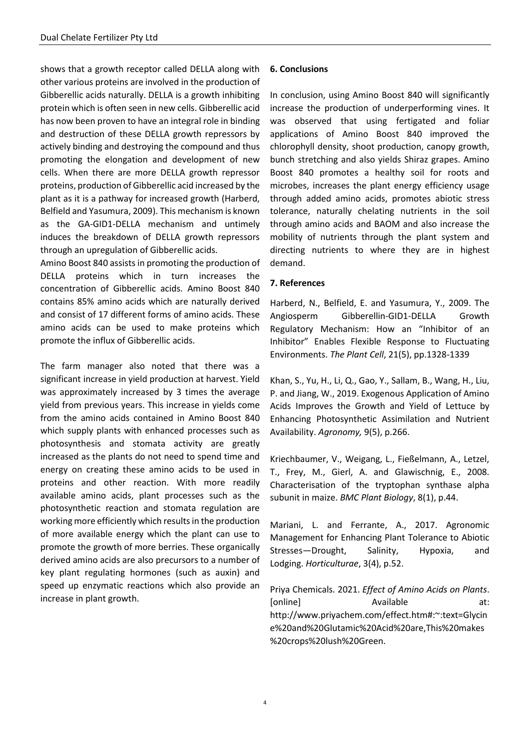shows that a growth receptor called DELLA along with other various proteins are involved in the production of Gibberellic acids naturally. DELLA is a growth inhibiting protein which is often seen in new cells. Gibberellic acid has now been proven to have an integral role in binding and destruction of these DELLA growth repressors by actively binding and destroying the compound and thus promoting the elongation and development of new cells. When there are more DELLA growth repressor proteins, production of Gibberellic acid increased by the plant as it is a pathway for increased growth (Harberd, Belfield and Yasumura, 2009). This mechanism is known as the GA-GID1-DELLA mechanism and untimely induces the breakdown of DELLA growth repressors through an upregulation of Gibberellic acids.

Amino Boost 840 assists in promoting the production of DELLA proteins which in turn increases the concentration of Gibberellic acids. Amino Boost 840 contains 85% amino acids which are naturally derived and consist of 17 different forms of amino acids. These amino acids can be used to make proteins which promote the influx of Gibberellic acids.

The farm manager also noted that there was a significant increase in yield production at harvest. Yield was approximately increased by 3 times the average yield from previous years. This increase in yields come from the amino acids contained in Amino Boost 840 which supply plants with enhanced processes such as photosynthesis and stomata activity are greatly increased as the plants do not need to spend time and energy on creating these amino acids to be used in proteins and other reaction. With more readily available amino acids, plant processes such as the photosynthetic reaction and stomata regulation are working more efficiently which results in the production of more available energy which the plant can use to promote the growth of more berries. These organically derived amino acids are also precursors to a number of key plant regulating hormones (such as auxin) and speed up enzymatic reactions which also provide an increase in plant growth.

#### **6. Conclusions**

In conclusion, using Amino Boost 840 will significantly increase the production of underperforming vines. It was observed that using fertigated and foliar applications of Amino Boost 840 improved the chlorophyll density, shoot production, canopy growth, bunch stretching and also yields Shiraz grapes. Amino Boost 840 promotes a healthy soil for roots and microbes, increases the plant energy efficiency usage through added amino acids, promotes abiotic stress tolerance, naturally chelating nutrients in the soil through amino acids and BAOM and also increase the mobility of nutrients through the plant system and directing nutrients to where they are in highest demand.

## **7. References**

Harberd, N., Belfield, E. and Yasumura, Y., 2009. The Angiosperm Gibberellin-GID1-DELLA Growth Regulatory Mechanism: How an "Inhibitor of an Inhibitor" Enables Flexible Response to Fluctuating Environments. *The Plant Cell*, 21(5), pp.1328-1339

Khan, S., Yu, H., Li, Q., Gao, Y., Sallam, B., Wang, H., Liu, P. and Jiang, W., 2019. Exogenous Application of Amino Acids Improves the Growth and Yield of Lettuce by Enhancing Photosynthetic Assimilation and Nutrient Availability. *Agronomy,* 9(5), p.266.

Kriechbaumer, V., Weigang, L., Fießelmann, A., Letzel, T., Frey, M., Gierl, A. and Glawischnig, E., 2008. Characterisation of the tryptophan synthase alpha subunit in maize. *BMC Plant Biology*, 8(1), p.44.

Mariani, L. and Ferrante, A., 2017. Agronomic Management for Enhancing Plant Tolerance to Abiotic Stresses—Drought, Salinity, Hypoxia, and Lodging. *Horticulturae*, 3(4), p.52.

Priya Chemicals. 2021. *Effect of Amino Acids on Plants*. [online] Available at: [http://www.priyachem.com/effect.htm#:~:text=Glycin](http://www.priyachem.com/effect.htm#:~:text=Glycine%20and%20Glutamic%20Acid%20are,This%20makes%20crops%20lush%20Green.) [e%20and%20Glutamic%20Acid%20are,This%20makes](http://www.priyachem.com/effect.htm#:~:text=Glycine%20and%20Glutamic%20Acid%20are,This%20makes%20crops%20lush%20Green.) [%20crops%20lush%20Green.](http://www.priyachem.com/effect.htm#:~:text=Glycine%20and%20Glutamic%20Acid%20are,This%20makes%20crops%20lush%20Green.)